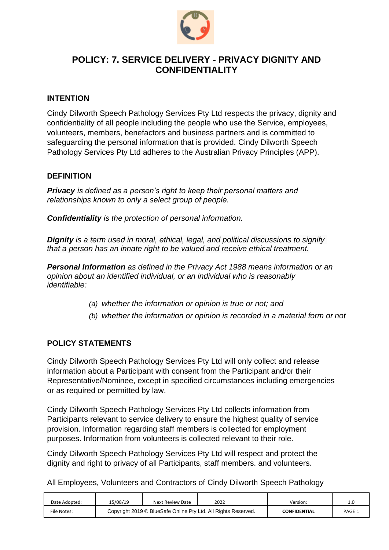

# **POLICY: 7. SERVICE DELIVERY - PRIVACY DIGNITY AND CONFIDENTIALITY**

### **INTENTION**

Cindy Dilworth Speech Pathology Services Pty Ltd respects the privacy, dignity and confidentiality of all people including the people who use the Service, employees, volunteers, members, benefactors and business partners and is committed to safeguarding the personal information that is provided. Cindy Dilworth Speech Pathology Services Pty Ltd adheres to the Australian Privacy Principles (APP).

### **DEFINITION**

*Privacy is defined as a person's right to keep their personal matters and relationships known to only a select group of people.*

*Confidentiality is the protection of personal information.*

*Dignity is a term used in moral, ethical, legal, and political discussions to signify that a person has an innate right to be valued and receive ethical treatment.*

*Personal Information as defined in the Privacy Act 1988 means information or an opinion about an identified individual, or an individual who is reasonably identifiable:*

- *(a) whether the information or opinion is true or not; and*
- *(b) whether the information or opinion is recorded in a material form or not*

## **POLICY STATEMENTS**

Cindy Dilworth Speech Pathology Services Pty Ltd will only collect and release information about a Participant with consent from the Participant and/or their Representative/Nominee, except in specified circumstances including emergencies or as required or permitted by law.

Cindy Dilworth Speech Pathology Services Pty Ltd collects information from Participants relevant to service delivery to ensure the highest quality of service provision. Information regarding staff members is collected for employment purposes. Information from volunteers is collected relevant to their role.

Cindy Dilworth Speech Pathology Services Pty Ltd will respect and protect the dignity and right to privacy of all Participants, staff members. and volunteers.

All Employees, Volunteers and Contractors of Cindy Dilworth Speech Pathology

| Date Adopted: | 15/08/19                                                       | Next Review Date | 2022 | Version:            | . . J  |
|---------------|----------------------------------------------------------------|------------------|------|---------------------|--------|
| File Notes:   | Copyright 2019 © BlueSafe Online Pty Ltd. All Rights Reserved. |                  |      | <b>CONFIDENTIAL</b> | PAGE 1 |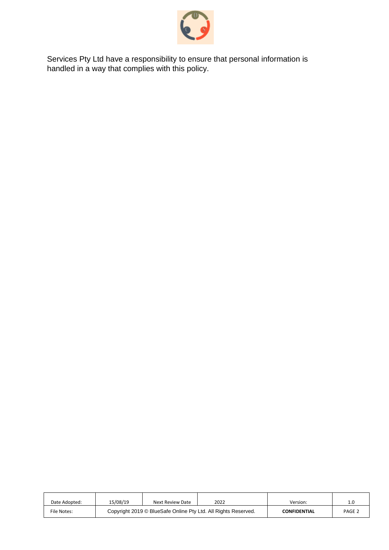

Services Pty Ltd have a responsibility to ensure that personal information is handled in a way that complies with this policy.

| Date Adopted: | 15/08/19                                                       | Next Review Date | 2022 | Version:            | 1.0               |
|---------------|----------------------------------------------------------------|------------------|------|---------------------|-------------------|
| File Notes:   | Copyright 2019 © BlueSafe Online Pty Ltd. All Rights Reserved. |                  |      | <b>CONFIDENTIAL</b> | PAGE <sub>2</sub> |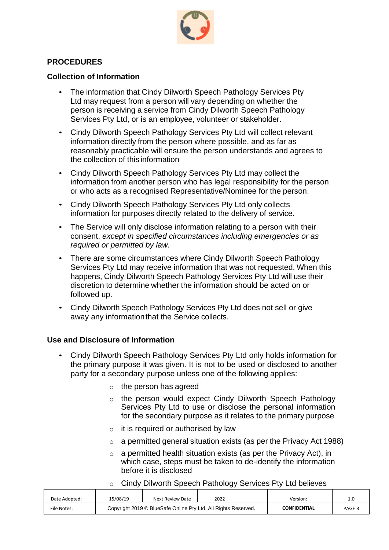

# **PROCEDURES**

### **Collection of Information**

- The information that Cindy Dilworth Speech Pathology Services Pty Ltd may request from a person will vary depending on whether the person is receiving a service from Cindy Dilworth Speech Pathology Services Pty Ltd, or is an employee, volunteer or stakeholder.
- Cindy Dilworth Speech Pathology Services Pty Ltd will collect relevant information directly from the person where possible, and as far as reasonably practicable will ensure the person understands and agrees to the collection of this information
- Cindy Dilworth Speech Pathology Services Pty Ltd may collect the information from another person who has legal responsibility for the person or who acts as a recognised Representative/Nominee for the person.
- Cindy Dilworth Speech Pathology Services Pty Ltd only collects information for purposes directly related to the delivery of service.
- The Service will only disclose information relating to a person with their consent, *except in specified circumstances including emergencies or as required or permitted by law.*
- There are some circumstances where Cindy Dilworth Speech Pathology Services Pty Ltd may receive information that was not requested. When this happens, Cindy Dilworth Speech Pathology Services Pty Ltd will use their discretion to determine whether the information should be acted on or followed up.
- Cindy Dilworth Speech Pathology Services Pty Ltd does not sell or give away any informationthat the Service collects.

## **Use and Disclosure of Information**

- Cindy Dilworth Speech Pathology Services Pty Ltd only holds information for the primary purpose it was given. It is not to be used or disclosed to another party for a secondary purpose unless one of the following applies:
	- $\circ$  the person has agreed
	- o the person would expect Cindy Dilworth Speech Pathology Services Pty Ltd to use or disclose the personal information for the secondary purpose as it relates to the primary purpose
	- $\circ$  it is required or authorised by law
	- $\circ$  a permitted general situation exists (as per the Privacy Act 1988)
	- $\circ$  a permitted health situation exists (as per the Privacy Act), in which case, steps must be taken to de-identify the information before it is disclosed
	- o Cindy Dilworth Speech Pathology Services Pty Ltd believes

| Date Adopted: | 15/08/19                                                       | Next Review Date | 2022 | Version:            | . .    |
|---------------|----------------------------------------------------------------|------------------|------|---------------------|--------|
| File Notes:   | Copyright 2019 © BlueSafe Online Pty Ltd. All Rights Reserved. |                  |      | <b>CONFIDENTIAL</b> | PAGE 3 |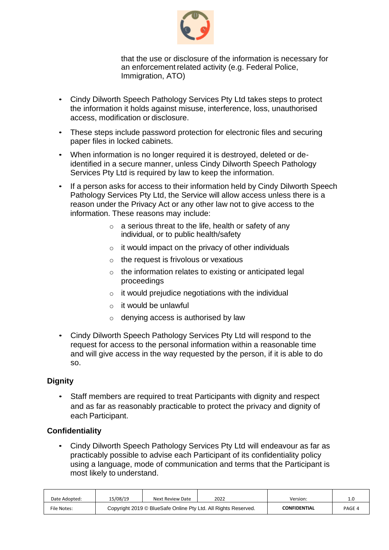

that the use or disclosure of the information is necessary for an enforcement related activity (e.g. Federal Police, Immigration, ATO)

- Cindy Dilworth Speech Pathology Services Pty Ltd takes steps to protect the information it holds against misuse, interference, loss, unauthorised access, modification or disclosure.
- These steps include password protection for electronic files and securing paper files in locked cabinets.
- When information is no longer required it is destroyed, deleted or deidentified in a secure manner, unless Cindy Dilworth Speech Pathology Services Pty Ltd is required by law to keep the information.
- If a person asks for access to their information held by Cindy Dilworth Speech Pathology Services Pty Ltd, the Service will allow access unless there is a reason under the Privacy Act or any other law not to give access to the information. These reasons may include:
	- $\circ$  a serious threat to the life, health or safety of any individual, or to public health/safety
	- $\circ$  it would impact on the privacy of other individuals
	- $\circ$  the request is frivolous or vexatious
	- o the information relates to existing or anticipated legal proceedings
	- $\circ$  it would prejudice negotiations with the individual
	- $\circ$  it would be unlawful
	- o denying access is authorised by law
- Cindy Dilworth Speech Pathology Services Pty Ltd will respond to the request for access to the personal information within a reasonable time and will give access in the way requested by the person, if it is able to do so.

#### **Dignity**

• Staff members are required to treat Participants with dignity and respect and as far as reasonably practicable to protect the privacy and dignity of each Participant.

#### **Confidentiality**

• Cindy Dilworth Speech Pathology Services Pty Ltd will endeavour as far as practicably possible to advise each Participant of its confidentiality policy using a language, mode of communication and terms that the Participant is most likely to understand.

| Date Adopted: | 15/08/19                                                       | Next Review Date | 2022 | Version:            |        |
|---------------|----------------------------------------------------------------|------------------|------|---------------------|--------|
| File Notes:   | Copyright 2019 © BlueSafe Online Pty Ltd. All Rights Reserved. |                  |      | <b>CONFIDENTIAL</b> | PAGE 4 |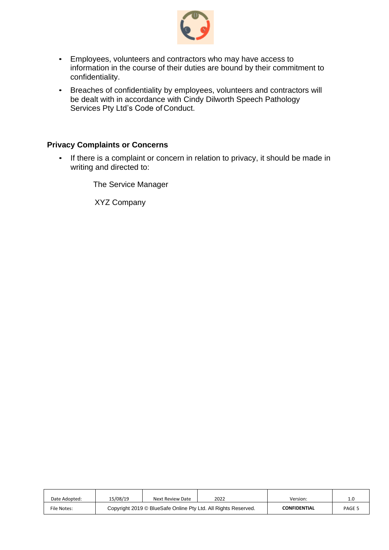

- Employees, volunteers and contractors who may have access to information in the course of their duties are bound by their commitment to confidentiality.
- Breaches of confidentiality by employees, volunteers and contractors will be dealt with in accordance with Cindy Dilworth Speech Pathology Services Pty Ltd's Code of Conduct.

## **Privacy Complaints or Concerns**

• If there is a complaint or concern in relation to privacy, it should be made in writing and directed to:

The Service Manager

XYZ Company

| Date Adopted: | 15/08/19                                                       | Next Review Date | 2022 | Version:            | ∸      |
|---------------|----------------------------------------------------------------|------------------|------|---------------------|--------|
| File Notes:   | Copyright 2019 © BlueSafe Online Pty Ltd. All Rights Reserved. |                  |      | <b>CONFIDENTIAL</b> | PAGE 5 |